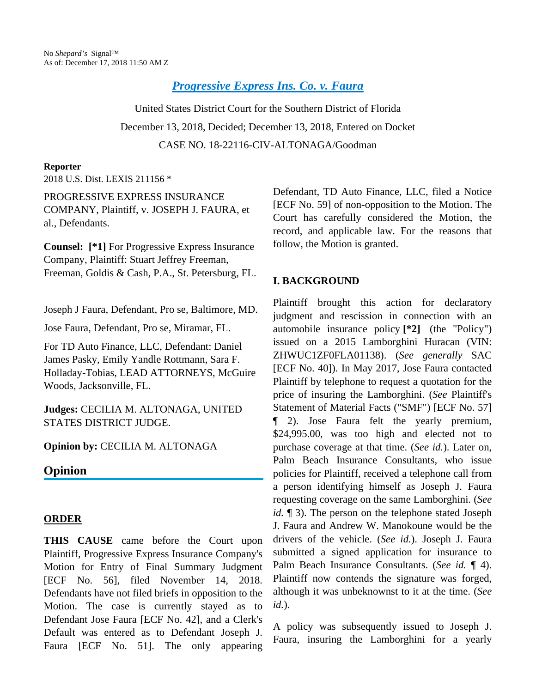*[Progressive Express Ins. Co. v. Faura](http://configure.this.manually.for.dev/api/document?collection=cases&id=urn:contentItem:5TYS-HN11-JSC5-M00T-00000-00&context=)*

United States District Court for the Southern District of Florida December 13, 2018, Decided; December 13, 2018, Entered on Docket CASE NO. 18-22116-CIV-ALTONAGA/Goodman

#### **Reporter**

2018 U.S. Dist. LEXIS 211156 \*

PROGRESSIVE EXPRESS INSURANCE COMPANY, Plaintiff, v. JOSEPH J. FAURA, et al., Defendants.

**Counsel: [\*1]** For Progressive Express Insurance Company, Plaintiff: Stuart Jeffrey Freeman, Freeman, Goldis & Cash, P.A., St. Petersburg, FL.

Joseph J Faura, Defendant, Pro se, Baltimore, MD.

Jose Faura, Defendant, Pro se, Miramar, FL.

For TD Auto Finance, LLC, Defendant: Daniel James Pasky, Emily Yandle Rottmann, Sara F. Holladay-Tobias, LEAD ATTORNEYS, McGuire Woods, Jacksonville, FL.

**Judges:** CECILIA M. ALTONAGA, UNITED STATES DISTRICT JUDGE.

**Opinion by:** CECILIA M. ALTONAGA

## **Opinion**

### **ORDER**

**THIS CAUSE** came before the Court upon Plaintiff, Progressive Express Insurance Company's Motion for Entry of Final Summary Judgment [ECF No. 56], filed November 14, 2018. Defendants have not filed briefs in opposition to the Motion. The case is currently stayed as to Defendant Jose Faura [ECF No. 42], and a Clerk's Default was entered as to Defendant Joseph J. Faura [ECF No. 51]. The only appearing

Defendant, TD Auto Finance, LLC, filed a Notice [ECF No. 59] of non-opposition to the Motion. The Court has carefully considered the Motion, the record, and applicable law. For the reasons that follow, the Motion is granted.

## **I. BACKGROUND**

Plaintiff brought this action for declaratory judgment and rescission in connection with an automobile insurance policy **[\*2]** (the "Policy") issued on a 2015 Lamborghini Huracan (VIN: ZHWUC1ZF0FLA01138). (*See generally* SAC [ECF No. 40]). In May 2017, Jose Faura contacted Plaintiff by telephone to request a quotation for the price of insuring the Lamborghini. (*See* Plaintiff's Statement of Material Facts ("SMF") [ECF No. 57] ¶ 2). Jose Faura felt the yearly premium, \$24,995.00, was too high and elected not to purchase coverage at that time. (*See id.*). Later on, Palm Beach Insurance Consultants, who issue policies for Plaintiff, received a telephone call from a person identifying himself as Joseph J. Faura requesting coverage on the same Lamborghini. (*See id.* ¶ 3). The person on the telephone stated Joseph J. Faura and Andrew W. Manokoune would be the drivers of the vehicle. (*See id.*). Joseph J. Faura submitted a signed application for insurance to Palm Beach Insurance Consultants. (*See id.* ¶ 4). Plaintiff now contends the signature was forged, although it was unbeknownst to it at the time. (*See id.*).

A policy was subsequently issued to Joseph J. Faura, insuring the Lamborghini for a yearly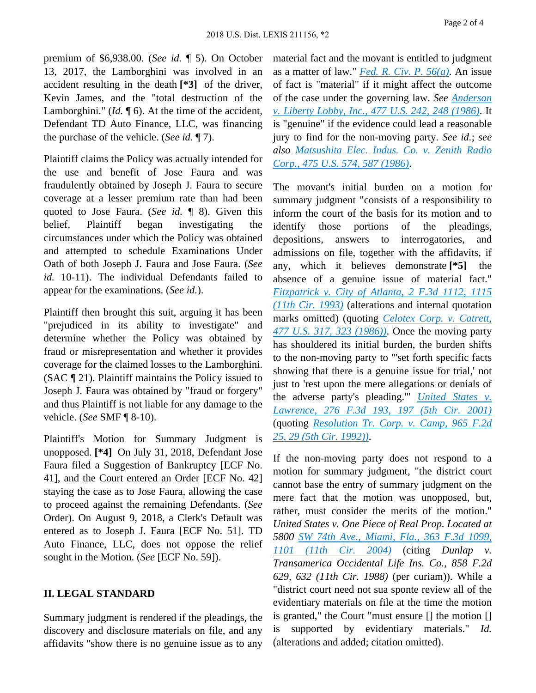Page 2 of 4

premium of \$6,938.00. (*See id.* ¶ 5). On October 13, 2017, the Lamborghini was involved in an accident resulting in the death **[\*3]** of the driver, Kevin James, and the "total destruction of the Lamborghini." (*Id.* 16). At the time of the accident, Defendant TD Auto Finance, LLC, was financing the purchase of the vehicle. (*See id.* ¶ 7).

Plaintiff claims the Policy was actually intended for the use and benefit of Jose Faura and was fraudulently obtained by Joseph J. Faura to secure coverage at a lesser premium rate than had been quoted to Jose Faura. (*See id.* ¶ 8). Given this belief, Plaintiff began investigating the circumstances under which the Policy was obtained and attempted to schedule Examinations Under Oath of both Joseph J. Faura and Jose Faura. (*See id.* 10-11). The individual Defendants failed to appear for the examinations. (*See id.*).

Plaintiff then brought this suit, arguing it has been "prejudiced in its ability to investigate" and determine whether the Policy was obtained by fraud or misrepresentation and whether it provides coverage for the claimed losses to the Lamborghini. (SAC ¶ 21). Plaintiff maintains the Policy issued to Joseph J. Faura was obtained by "fraud or forgery" and thus Plaintiff is not liable for any damage to the vehicle. (*See* SMF ¶ 8-10).

Plaintiff's Motion for Summary Judgment is unopposed. **[\*4]** On July 31, 2018, Defendant Jose Faura filed a Suggestion of Bankruptcy [ECF No. 41], and the Court entered an Order [ECF No. 42] staying the case as to Jose Faura, allowing the case to proceed against the remaining Defendants. (*See* Order). On August 9, 2018, a Clerk's Default was entered as to Joseph J. Faura [ECF No. 51]. TD Auto Finance, LLC, does not oppose the relief sought in the Motion. (*See* [ECF No. 59]).

# **II. LEGAL STANDARD**

Summary judgment is rendered if the pleadings, the discovery and disclosure materials on file, and any affidavits "show there is no genuine issue as to any material fact and the movant is entitled to judgment as a matter of law." *[Fed. R. Civ. P. 56\(a\)](http://configure.this.manually.for.dev/api/document?collection=statutes-legislation&id=urn:contentItem:5GYC-2421-6N19-F165-00000-00&context=)*. An issue of fact is "material" if it might affect the outcome of the case under the governing law. *See [Anderson](http://configure.this.manually.for.dev/api/document?collection=cases&id=urn:contentItem:3S4X-6H80-0039-N37M-00000-00&context=)  [v. Liberty Lobby, Inc., 477 U.S. 242, 248 \(1986\)](http://configure.this.manually.for.dev/api/document?collection=cases&id=urn:contentItem:3S4X-6H80-0039-N37M-00000-00&context=)*. It is "genuine" if the evidence could lead a reasonable jury to find for the non-moving party. *See id.*; *see also [Matsushita Elec. Indus. Co. v. Zenith Radio](http://configure.this.manually.for.dev/api/document?collection=cases&id=urn:contentItem:3S4X-7P90-0039-N51W-00000-00&context=)  [Corp., 475 U.S. 574, 587 \(1986\)](http://configure.this.manually.for.dev/api/document?collection=cases&id=urn:contentItem:3S4X-7P90-0039-N51W-00000-00&context=)*.

The movant's initial burden on a motion for summary judgment "consists of a responsibility to inform the court of the basis for its motion and to identify those portions of the pleadings, depositions, answers to interrogatories, and admissions on file, together with the affidavits, if any, which it believes demonstrate **[\*5]** the absence of a genuine issue of material fact." *[Fitzpatrick v. City of Atlanta, 2 F.3d 1112, 1115](http://configure.this.manually.for.dev/api/document?collection=cases&id=urn:contentItem:3S4X-CKK0-003B-P22B-00000-00&context=)  [\(11th Cir. 1993\)](http://configure.this.manually.for.dev/api/document?collection=cases&id=urn:contentItem:3S4X-CKK0-003B-P22B-00000-00&context=)* (alterations and internal quotation marks omitted) (quoting *[Celotex Corp. v. Catrett,](http://configure.this.manually.for.dev/api/document?collection=cases&id=urn:contentItem:3S4X-6HC0-0039-N37R-00000-00&context=)  [477 U.S. 317, 323 \(1986\)\)](http://configure.this.manually.for.dev/api/document?collection=cases&id=urn:contentItem:3S4X-6HC0-0039-N37R-00000-00&context=)*. Once the moving party has shouldered its initial burden, the burden shifts to the non-moving party to "'set forth specific facts showing that there is a genuine issue for trial,' not just to 'rest upon the mere allegations or denials of the adverse party's pleading.'" *[United States v.](http://configure.this.manually.for.dev/api/document?collection=cases&id=urn:contentItem:44NF-1V30-0038-X3YW-00000-00&context=)  [Lawrence, 276 F.3d 193, 197 \(5th Cir. 2001\)](http://configure.this.manually.for.dev/api/document?collection=cases&id=urn:contentItem:44NF-1V30-0038-X3YW-00000-00&context=)* (quoting *[Resolution Tr. Corp. v. Camp, 965 F.2d](http://configure.this.manually.for.dev/api/document?collection=cases&id=urn:contentItem:3S4X-2H50-008H-V02P-00000-00&context=)  [25, 29 \(5th Cir. 1992\)\)](http://configure.this.manually.for.dev/api/document?collection=cases&id=urn:contentItem:3S4X-2H50-008H-V02P-00000-00&context=)*.

If the non-moving party does not respond to a motion for summary judgment, "the district court cannot base the entry of summary judgment on the mere fact that the motion was unopposed, but, rather, must consider the merits of the motion." *United States v. One Piece of Real Prop. Located at 5800 [SW 74th Ave., Miami, Fla., 363 F.3d 1099,](http://configure.this.manually.for.dev/api/document?collection=cases&id=urn:contentItem:4C0V-TFH0-0038-X0WV-00000-00&context=)  [1101 \(11th Cir. 2004\)](http://configure.this.manually.for.dev/api/document?collection=cases&id=urn:contentItem:4C0V-TFH0-0038-X0WV-00000-00&context=)* (citing *Dunlap v. Transamerica Occidental Life Ins. Co., 858 F.2d 629, 632 (11th Cir. 1988)* (per curiam)). While a "district court need not sua sponte review all of the evidentiary materials on file at the time the motion is granted," the Court "must ensure [] the motion [] is supported by evidentiary materials." *Id.* (alterations and added; citation omitted).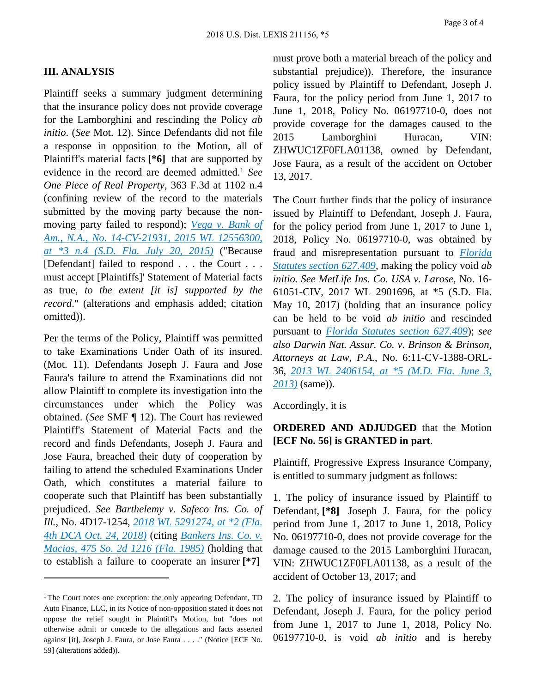#### **III. ANALYSIS**

Plaintiff seeks a summary judgment determining that the insurance policy does not provide coverage for the Lamborghini and rescinding the Policy *ab initio*. (*See* Mot. 12). Since Defendants did not file a response in opposition to the Motion, all of Plaintiff's material facts **[\*6]** that are supported by evidence in the record are deemed admitted.<sup>1</sup> *See One Piece of Real Property*, 363 F.3d at 1102 n.4 (confining review of the record to the materials submitted by the moving party because the nonmoving party failed to respond); *[Vega v. Bank of](http://configure.this.manually.for.dev/api/document?collection=cases&id=urn:contentItem:5T6R-1K91-F1H1-240S-00000-00&context=)  [Am., N.A., No. 14-CV-21931, 2015 WL 12556300,](http://configure.this.manually.for.dev/api/document?collection=cases&id=urn:contentItem:5T6R-1K91-F1H1-240S-00000-00&context=)  [at \\*3 n.4 \(S.D. Fla. July 20, 2015\)](http://configure.this.manually.for.dev/api/document?collection=cases&id=urn:contentItem:5T6R-1K91-F1H1-240S-00000-00&context=)* ("Because [Defendant] failed to respond . . . the Court . . . must accept [Plaintiffs]' Statement of Material facts as true, *to the extent [it is] supported by the record*." (alterations and emphasis added; citation omitted)).

Per the terms of the Policy, Plaintiff was permitted to take Examinations Under Oath of its insured. (Mot. 11). Defendants Joseph J. Faura and Jose Faura's failure to attend the Examinations did not allow Plaintiff to complete its investigation into the circumstances under which the Policy was obtained. (*See* SMF ¶ 12). The Court has reviewed Plaintiff's Statement of Material Facts and the record and finds Defendants, Joseph J. Faura and Jose Faura, breached their duty of cooperation by failing to attend the scheduled Examinations Under Oath, which constitutes a material failure to cooperate such that Plaintiff has been substantially prejudiced. *See Barthelemy v. Safeco Ins. Co. of Ill.*, No. 4D17-1254, *[2018 WL 5291274, at \\*2 \(Fla.](http://configure.this.manually.for.dev/api/document?collection=cases&id=urn:contentItem:5TJY-X2T1-F2F4-G2R7-00000-00&context=)  [4th DCA Oct. 24, 2018\)](http://configure.this.manually.for.dev/api/document?collection=cases&id=urn:contentItem:5TJY-X2T1-F2F4-G2R7-00000-00&context=)* (citing *[Bankers Ins. Co. v.](http://configure.this.manually.for.dev/api/document?collection=cases&id=urn:contentItem:3RRM-24S0-003C-X0H8-00000-00&context=)  [Macias, 475 So. 2d 1216 \(Fla. 1985\)](http://configure.this.manually.for.dev/api/document?collection=cases&id=urn:contentItem:3RRM-24S0-003C-X0H8-00000-00&context=)* (holding that to establish a failure to cooperate an insurer **[\*7]** 

must prove both a material breach of the policy and substantial prejudice)). Therefore, the insurance policy issued by Plaintiff to Defendant, Joseph J. Faura, for the policy period from June 1, 2017 to June 1, 2018, Policy No. 06197710-0, does not provide coverage for the damages caused to the 2015 Lamborghini Huracan, VIN: ZHWUC1ZF0FLA01138, owned by Defendant, Jose Faura, as a result of the accident on October 13, 2017.

The Court further finds that the policy of insurance issued by Plaintiff to Defendant, Joseph J. Faura, for the policy period from June 1, 2017 to June 1, 2018, Policy No. 06197710-0, was obtained by fraud and misrepresentation pursuant to *[Florida](http://configure.this.manually.for.dev/api/document?collection=statutes-legislation&id=urn:contentItem:5CH7-9FF1-DXC8-001Y-00000-00&context=)  [Statutes section 627.409](http://configure.this.manually.for.dev/api/document?collection=statutes-legislation&id=urn:contentItem:5CH7-9FF1-DXC8-001Y-00000-00&context=)*, making the policy void *ab initio. See MetLife Ins. Co. USA v. Larose*, No. 16- 61051-CIV, 2017 WL 2901696, at \*5 (S.D. Fla. May 10, 2017) (holding that an insurance policy can be held to be void *ab initio* and rescinded pursuant to *[Florida Statutes section 627.409](http://configure.this.manually.for.dev/api/document?collection=statutes-legislation&id=urn:contentItem:5CH7-9FF1-DXC8-001Y-00000-00&context=)*); *see also Darwin Nat. Assur. Co. v. Brinson & Brinson, Attorneys at Law, P.A.*, No. 6:11-CV-1388-ORL-36, *[2013 WL 2406154, at \\*5 \(M.D. Fla. June 3,](http://configure.this.manually.for.dev/api/document?collection=cases&id=urn:contentItem:58K1-5G61-F04D-10KP-00000-00&context=)  [2013\)](http://configure.this.manually.for.dev/api/document?collection=cases&id=urn:contentItem:58K1-5G61-F04D-10KP-00000-00&context=)* (same)).

Accordingly, it is

## **ORDERED AND ADJUDGED** that the Motion **[ECF No. 56] is GRANTED in part**.

Plaintiff, Progressive Express Insurance Company, is entitled to summary judgment as follows:

1. The policy of insurance issued by Plaintiff to Defendant, **[\*8]** Joseph J. Faura, for the policy period from June 1, 2017 to June 1, 2018, Policy No. 06197710-0, does not provide coverage for the damage caused to the 2015 Lamborghini Huracan, VIN: ZHWUC1ZF0FLA01138, as a result of the accident of October 13, 2017; and

2. The policy of insurance issued by Plaintiff to Defendant, Joseph J. Faura, for the policy period from June 1, 2017 to June 1, 2018, Policy No. 06197710-0, is void *ab initio* and is hereby

<sup>&</sup>lt;sup>1</sup>The Court notes one exception: the only appearing Defendant, TD Auto Finance, LLC, in its Notice of non-opposition stated it does not oppose the relief sought in Plaintiff's Motion, but "does not otherwise admit or concede to the allegations and facts asserted against [it], Joseph J. Faura, or Jose Faura . . . ." (Notice [ECF No. 59] (alterations added)).